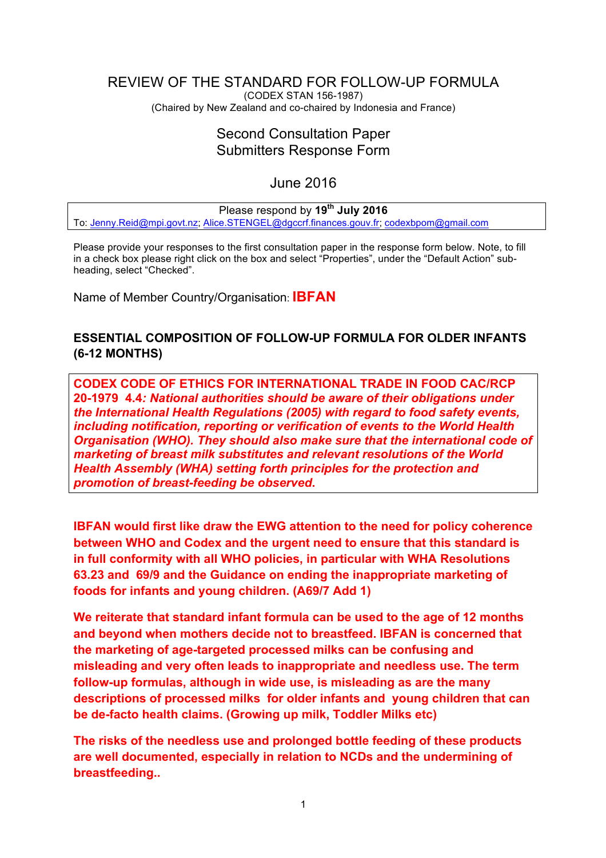## <span id="page-0-0"></span>REVIEW OF THE STANDARD FOR FOLLOW-UP FORMULA (CODEX STAN 156-1987)

(Chaired by New Zealand and co-chaired by Indonesia and France)

# Second Consultation Paper Submitters Response Form

# June 2016

#### Please respond by **19th July 2016** To: [Jenny.Reid@mpi.govt.nz](mailto:Jenny.Reid@mpi.govt.nz); [Alice.STENGEL@dgccrf.finances.gouv.fr](mailto:Alice.STENGEL@dgccrf.finances.gouv.fr); [codexbpom@gmail.com](mailto:codexbpom@gmail.com)

Please provide your responses to the first consultation paper in the response form below. Note, to fill in a check box please right click on the box and select "Properties", under the "Default Action" subheading, select "Checked".

Name of Member Country/Organisation: **IBFAN**

# **ESSENTIAL COMPOSITION OF FOLLOW-UP FORMULA FOR OLDER INFANTS (6-12 MONTHS)**

**CODEX CODE OF ETHICS FOR INTERNATIONAL TRADE IN FOOD CAC/RCP 20-1979 4.4***: National authorities should be aware of their obligations under the International Health Regulations (2005) with regard to food safety events, including notification, reporting or verification of events to the World Health Organisation (WHO). They should also make sure that the international code of marketing of breast milk substitutes and relevant resolutions of the World Health Assembly (WHA) setting forth principles for the protection and promotion of breast-feeding be observed***.**

**IBFAN would first like draw the EWG attention to the need for policy coherence between WHO and Codex and the urgent need to ensure that this standard is in full conformity with all WHO policies, in particular with WHA Resolutions 63.23 and 69/9 and the Guidance on ending the inappropriate marketing of foods for infants and young children. (A69/7 Add 1)**

**We reiterate that standard infant formula can be used to the age of 12 months and beyond when mothers decide not to breastfeed. IBFAN is concerned that the marketing of age-targeted processed milks can be confusing and misleading and very often leads to inappropriate and needless use. The term follow-up formulas, although in wide use, is misleading as are the many descriptions of processed milks for older infants and young children that can be de-facto health claims. (Growing up milk, Toddler Milks etc)** 

**The risks of the needless use and prolonged bottle feeding of these products are well documented, especially in relation to NCDs and the undermining of breastfeeding..**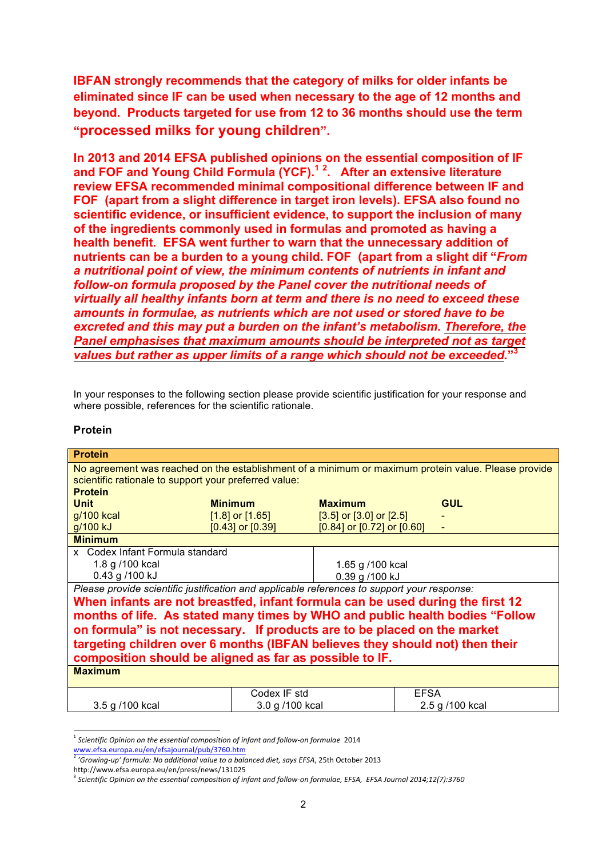**IBFAN strongly recommends that the category of milks for older infants be eliminated since IF can be used when necessary to the age of 12 months and beyond. Products targeted for use from 12 to 36 months should use the term "processed milks for young children".**

**In 2013 and 2014 EFSA published opinions on the essential composition of IF and FOF and Young Child Formula (YCF).1 <sup>2</sup> . After an extensive literature review EFSA recommended minimal compositional difference between IF and FOF (apart from a slight difference in target iron levels). EFSA also found no scientific evidence, or insufficient evidence, to support the inclusion of many of the ingredients commonly used in formulas and promoted as having a health benefit. EFSA went further to warn that the unnecessary addition of nutrients can be a burden to a young child. FOF (apart from a slight dif "***From a nutritional point of view, the minimum contents of nutrients in infant and follow-on formula proposed by the Panel cover the nutritional needs of virtually all healthy infants born at term and there is no need to exceed these amounts in formulae, as nutrients which are not used or stored have to be excreted and this may put a burden on the infant's metabolism. Therefore, the Panel emphasises that maximum amounts should be interpreted not as target values but rather as upper limits of a range which should not be exceeded.***"3**

In your responses to the following section please provide scientific justification for your response and where possible, references for the scientific rationale.

| r<br>oteın |  |
|------------|--|
|------------|--|

| <b>Protein</b>                                                                                                                                                                 |                      |                                  |                 |  |
|--------------------------------------------------------------------------------------------------------------------------------------------------------------------------------|----------------------|----------------------------------|-----------------|--|
| No agreement was reached on the establishment of a minimum or maximum protein value. Please provide<br>scientific rationale to support your preferred value:<br><b>Protein</b> |                      |                                  |                 |  |
| <b>Unit</b>                                                                                                                                                                    | <b>Minimum</b>       | <b>Maximum</b>                   | <b>GUL</b>      |  |
| g/100 kcal                                                                                                                                                                     | $[1.8]$ or $[1.65]$  | $[3.5]$ or $[3.0]$ or $[2.5]$    |                 |  |
| g/100 kJ                                                                                                                                                                       | $[0.43]$ or $[0.39]$ | $[0.84]$ or $[0.72]$ or $[0.60]$ |                 |  |
| <b>Minimum</b>                                                                                                                                                                 |                      |                                  |                 |  |
| x Codex Infant Formula standard                                                                                                                                                |                      |                                  |                 |  |
| 1.8 g /100 kcal                                                                                                                                                                |                      | 1.65 g /100 kcal                 |                 |  |
| 0.43 g /100 kJ                                                                                                                                                                 |                      | 0.39 g /100 kJ                   |                 |  |
| Please provide scientific justification and applicable references to support your response:                                                                                    |                      |                                  |                 |  |
| When infants are not breastfed, infant formula can be used during the first 12                                                                                                 |                      |                                  |                 |  |
| months of life. As stated many times by WHO and public health bodies "Follow                                                                                                   |                      |                                  |                 |  |
| on formula" is not necessary. If products are to be placed on the market                                                                                                       |                      |                                  |                 |  |
|                                                                                                                                                                                |                      |                                  |                 |  |
| targeting children over 6 months (IBFAN believes they should not) then their                                                                                                   |                      |                                  |                 |  |
| composition should be aligned as far as possible to IF.                                                                                                                        |                      |                                  |                 |  |
| <b>Maximum</b>                                                                                                                                                                 |                      |                                  |                 |  |
|                                                                                                                                                                                | Codex IF std         | <b>EFSA</b>                      |                 |  |
| 3.5 g /100 kcal                                                                                                                                                                | 3.0 g /100 kcal      |                                  | 2.5 g /100 kcal |  |

<sup>1</sup> *Scientific Opinion on the essential composition of infant and follow-on formulae*<sup>2014</sup> www.efsa.europa.eu/en/efsajournal/pub/3760.htm

<sup>2</sup> *'Growing-up' formula: No additional value to a balanced diet, says EFSA*, 25th October 2013

http://www.efsa.europa.eu/en/press/news/131025

<sup>3</sup> *Scientific Opinion on the essential composition of infant and follow-on formulae, EFSA, EFSA Journal 2014;12(7):3760*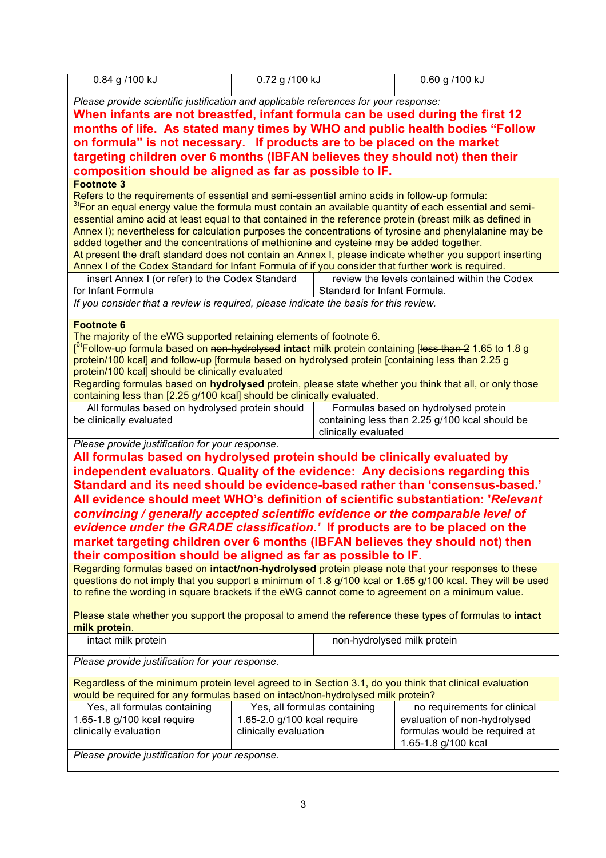| 0.84 g /100 kJ                                                                                                                                                                             | 0.72 g /100 kJ                                                                                                                                                         |                              | 0.60 g /100 kJ                                 |  |  |
|--------------------------------------------------------------------------------------------------------------------------------------------------------------------------------------------|------------------------------------------------------------------------------------------------------------------------------------------------------------------------|------------------------------|------------------------------------------------|--|--|
|                                                                                                                                                                                            |                                                                                                                                                                        |                              |                                                |  |  |
|                                                                                                                                                                                            | Please provide scientific justification and applicable references for your response:<br>When infants are not breastfed, infant formula can be used during the first 12 |                              |                                                |  |  |
|                                                                                                                                                                                            |                                                                                                                                                                        |                              |                                                |  |  |
| months of life. As stated many times by WHO and public health bodies "Follow                                                                                                               |                                                                                                                                                                        |                              |                                                |  |  |
| on formula" is not necessary. If products are to be placed on the market                                                                                                                   |                                                                                                                                                                        |                              |                                                |  |  |
| targeting children over 6 months (IBFAN believes they should not) then their                                                                                                               |                                                                                                                                                                        |                              |                                                |  |  |
| composition should be aligned as far as possible to IF.                                                                                                                                    |                                                                                                                                                                        |                              |                                                |  |  |
| <b>Footnote 3</b>                                                                                                                                                                          |                                                                                                                                                                        |                              |                                                |  |  |
| Refers to the requirements of essential and semi-essential amino acids in follow-up formula:                                                                                               |                                                                                                                                                                        |                              |                                                |  |  |
| <sup>3)</sup> For an equal energy value the formula must contain an available quantity of each essential and semi-                                                                         |                                                                                                                                                                        |                              |                                                |  |  |
| essential amino acid at least equal to that contained in the reference protein (breast milk as defined in                                                                                  |                                                                                                                                                                        |                              |                                                |  |  |
|                                                                                                                                                                                            |                                                                                                                                                                        |                              |                                                |  |  |
| Annex I); nevertheless for calculation purposes the concentrations of tyrosine and phenylalanine may be                                                                                    |                                                                                                                                                                        |                              |                                                |  |  |
| added together and the concentrations of methionine and cysteine may be added together.                                                                                                    |                                                                                                                                                                        |                              |                                                |  |  |
| At present the draft standard does not contain an Annex I, please indicate whether you support inserting                                                                                   |                                                                                                                                                                        |                              |                                                |  |  |
| Annex I of the Codex Standard for Infant Formula of if you consider that further work is required.                                                                                         |                                                                                                                                                                        |                              |                                                |  |  |
| insert Annex I (or refer) to the Codex Standard                                                                                                                                            |                                                                                                                                                                        |                              | review the levels contained within the Codex   |  |  |
| for Infant Formula                                                                                                                                                                         |                                                                                                                                                                        | Standard for Infant Formula. |                                                |  |  |
| If you consider that a review is required, please indicate the basis for this review.                                                                                                      |                                                                                                                                                                        |                              |                                                |  |  |
|                                                                                                                                                                                            |                                                                                                                                                                        |                              |                                                |  |  |
| <b>Footnote 6</b>                                                                                                                                                                          |                                                                                                                                                                        |                              |                                                |  |  |
| The majority of the eWG supported retaining elements of footnote 6.                                                                                                                        |                                                                                                                                                                        |                              |                                                |  |  |
| [ <sup>6)</sup> Follow-up formula based on <del>non-hydrolysed</del> intact milk protein containing [less than 2 1.65 to 1.8 g                                                             |                                                                                                                                                                        |                              |                                                |  |  |
| protein/100 kcal] and follow-up [formula based on hydrolysed protein [containing less than 2.25 g                                                                                          |                                                                                                                                                                        |                              |                                                |  |  |
| protein/100 kcal] should be clinically evaluated                                                                                                                                           |                                                                                                                                                                        |                              |                                                |  |  |
| Regarding formulas based on hydrolysed protein, please state whether you think that all, or only those                                                                                     |                                                                                                                                                                        |                              |                                                |  |  |
| containing less than [2.25 g/100 kcal] should be clinically evaluated.                                                                                                                     |                                                                                                                                                                        |                              |                                                |  |  |
| All formulas based on hydrolysed protein should                                                                                                                                            |                                                                                                                                                                        |                              | Formulas based on hydrolysed protein           |  |  |
| be clinically evaluated                                                                                                                                                                    |                                                                                                                                                                        |                              | containing less than 2.25 g/100 kcal should be |  |  |
|                                                                                                                                                                                            |                                                                                                                                                                        | clinically evaluated         |                                                |  |  |
| Please provide justification for your response.                                                                                                                                            |                                                                                                                                                                        |                              |                                                |  |  |
| All formulas based on hydrolysed protein should be clinically evaluated by                                                                                                                 |                                                                                                                                                                        |                              |                                                |  |  |
| independent evaluators. Quality of the evidence: Any decisions regarding this                                                                                                              |                                                                                                                                                                        |                              |                                                |  |  |
| Standard and its need should be evidence-based rather than 'consensus-based.'                                                                                                              |                                                                                                                                                                        |                              |                                                |  |  |
| All evidence should meet WHO's definition of scientific substantiation: 'Relevant'                                                                                                         |                                                                                                                                                                        |                              |                                                |  |  |
| convincing / generally accepted scientific evidence or the comparable level of                                                                                                             |                                                                                                                                                                        |                              |                                                |  |  |
| evidence under the GRADE classification.' If products are to be placed on the                                                                                                              |                                                                                                                                                                        |                              |                                                |  |  |
| market targeting children over 6 months (IBFAN believes they should not) then                                                                                                              |                                                                                                                                                                        |                              |                                                |  |  |
|                                                                                                                                                                                            |                                                                                                                                                                        |                              |                                                |  |  |
| their composition should be aligned as far as possible to IF.                                                                                                                              |                                                                                                                                                                        |                              |                                                |  |  |
| Regarding formulas based on intact/non-hydrolysed protein please note that your responses to these                                                                                         |                                                                                                                                                                        |                              |                                                |  |  |
| questions do not imply that you support a minimum of 1.8 g/100 kcal or 1.65 g/100 kcal. They will be used                                                                                  |                                                                                                                                                                        |                              |                                                |  |  |
| to refine the wording in square brackets if the eWG cannot come to agreement on a minimum value.                                                                                           |                                                                                                                                                                        |                              |                                                |  |  |
|                                                                                                                                                                                            |                                                                                                                                                                        |                              |                                                |  |  |
| Please state whether you support the proposal to amend the reference these types of formulas to intact                                                                                     |                                                                                                                                                                        |                              |                                                |  |  |
| milk protein.                                                                                                                                                                              |                                                                                                                                                                        |                              |                                                |  |  |
| intact milk protein<br>non-hydrolysed milk protein                                                                                                                                         |                                                                                                                                                                        |                              |                                                |  |  |
|                                                                                                                                                                                            |                                                                                                                                                                        |                              |                                                |  |  |
| Please provide justification for your response.                                                                                                                                            |                                                                                                                                                                        |                              |                                                |  |  |
|                                                                                                                                                                                            |                                                                                                                                                                        |                              |                                                |  |  |
| Regardless of the minimum protein level agreed to in Section 3.1, do you think that clinical evaluation<br>would be required for any formulas based on intact/non-hydrolysed milk protein? |                                                                                                                                                                        |                              |                                                |  |  |
| Yes, all formulas containing<br>Yes, all formulas containing<br>no requirements for clinical                                                                                               |                                                                                                                                                                        |                              |                                                |  |  |
|                                                                                                                                                                                            | 1.65-2.0 g/100 kcal require                                                                                                                                            |                              |                                                |  |  |
| 1.65-1.8 g/100 kcal require                                                                                                                                                                |                                                                                                                                                                        |                              | evaluation of non-hydrolysed                   |  |  |
| clinically evaluation                                                                                                                                                                      | clinically evaluation<br>formulas would be required at                                                                                                                 |                              |                                                |  |  |
|                                                                                                                                                                                            | 1.65-1.8 g/100 kcal                                                                                                                                                    |                              |                                                |  |  |
| Please provide justification for your response.                                                                                                                                            |                                                                                                                                                                        |                              |                                                |  |  |
|                                                                                                                                                                                            |                                                                                                                                                                        |                              |                                                |  |  |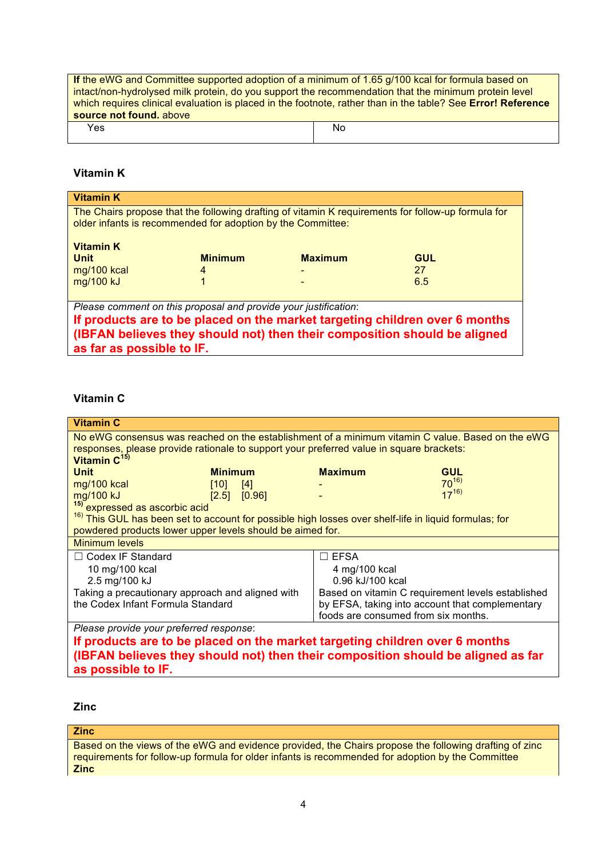**If** the eWG and Committee supported adoption of a minimum of 1.65 g/100 kcal for formula based on intact/non-hydrolysed milk protein, do you support the recommendation that the minimum protein level which requires clinical evaluation is placed in the footnote, rather than in the table? See **[Error! Reference](#page-0-0)  [source not found.](#page-0-0)** above

Yes and the set of the set of the set of the set of the set of the set of the set of the set of the set of the

## **Vitamin K**

| <b>Vitamin K</b>                                                                                                                                                  |                |                |            |  |  |
|-------------------------------------------------------------------------------------------------------------------------------------------------------------------|----------------|----------------|------------|--|--|
| The Chairs propose that the following drafting of vitamin K requirements for follow-up formula for<br>older infants is recommended for adoption by the Committee: |                |                |            |  |  |
| <b>Vitamin K</b>                                                                                                                                                  |                |                |            |  |  |
| <b>Unit</b>                                                                                                                                                       | <b>Minimum</b> | <b>Maximum</b> | <b>GUL</b> |  |  |
| mg/100 kcal                                                                                                                                                       | 4              |                | 27         |  |  |
| mg/100 kJ                                                                                                                                                         | 1              |                | 6.5        |  |  |
|                                                                                                                                                                   |                |                |            |  |  |
| Please comment on this proposal and provide your justification:                                                                                                   |                |                |            |  |  |
| If products are to be placed on the market targeting children over 6 months                                                                                       |                |                |            |  |  |
| (IBFAN believes they should not) then their composition should be aligned                                                                                         |                |                |            |  |  |
| as far as possible to IF.                                                                                                                                         |                |                |            |  |  |

## **Vitamin C**

| <b>Vitamin C</b>                                                                                                 |                                                                                                  |                  |                                                 |            |  |
|------------------------------------------------------------------------------------------------------------------|--------------------------------------------------------------------------------------------------|------------------|-------------------------------------------------|------------|--|
|                                                                                                                  | No eWG consensus was reached on the establishment of a minimum vitamin C value. Based on the eWG |                  |                                                 |            |  |
| responses, please provide rationale to support your preferred value in square brackets:                          |                                                                                                  |                  |                                                 |            |  |
| Vitamin C <sup>15)</sup>                                                                                         |                                                                                                  |                  |                                                 |            |  |
| <b>Unit</b>                                                                                                      | <b>Minimum</b>                                                                                   |                  | <b>Maximum</b>                                  | <b>GUL</b> |  |
| mg/100 kcal                                                                                                      | $[10]$                                                                                           | $[4]$            |                                                 | $70^{16}$  |  |
| mg/100 kJ                                                                                                        | $[2.5]$ $[0.96]$                                                                                 |                  |                                                 | $17^{16}$  |  |
| <sup>15)</sup> expressed as ascorbic acid                                                                        |                                                                                                  |                  |                                                 |            |  |
| <sup>16)</sup> This GUL has been set to account for possible high losses over shelf-life in liquid formulas; for |                                                                                                  |                  |                                                 |            |  |
| powdered products lower upper levels should be aimed for.                                                        |                                                                                                  |                  |                                                 |            |  |
| <b>Minimum levels</b>                                                                                            |                                                                                                  |                  |                                                 |            |  |
| $\Box$ Codex IF Standard                                                                                         |                                                                                                  |                  | $\Box$ EFSA                                     |            |  |
| 10 mg/100 kcal                                                                                                   |                                                                                                  |                  | 4 mg/100 kcal                                   |            |  |
| 2.5 mg/100 kJ                                                                                                    |                                                                                                  | 0.96 kJ/100 kcal |                                                 |            |  |
| Taking a precautionary approach and aligned with<br>Based on vitamin C requirement levels established            |                                                                                                  |                  |                                                 |            |  |
| the Codex Infant Formula Standard                                                                                |                                                                                                  |                  | by EFSA, taking into account that complementary |            |  |
|                                                                                                                  |                                                                                                  |                  | foods are consumed from six months.             |            |  |
| Please provide your preferred response:                                                                          |                                                                                                  |                  |                                                 |            |  |
| If products are to be placed on the market targeting children over 6 months                                      |                                                                                                  |                  |                                                 |            |  |
| (IBFAN believes they should not) then their composition should be aligned as far                                 |                                                                                                  |                  |                                                 |            |  |

**as possible to IF.**

**Zinc**

**Zinc**

Based on the views of the eWG and evidence provided, the Chairs propose the following drafting of zinc requirements for follow-up formula for older infants is recommended for adoption by the Committee **Zinc**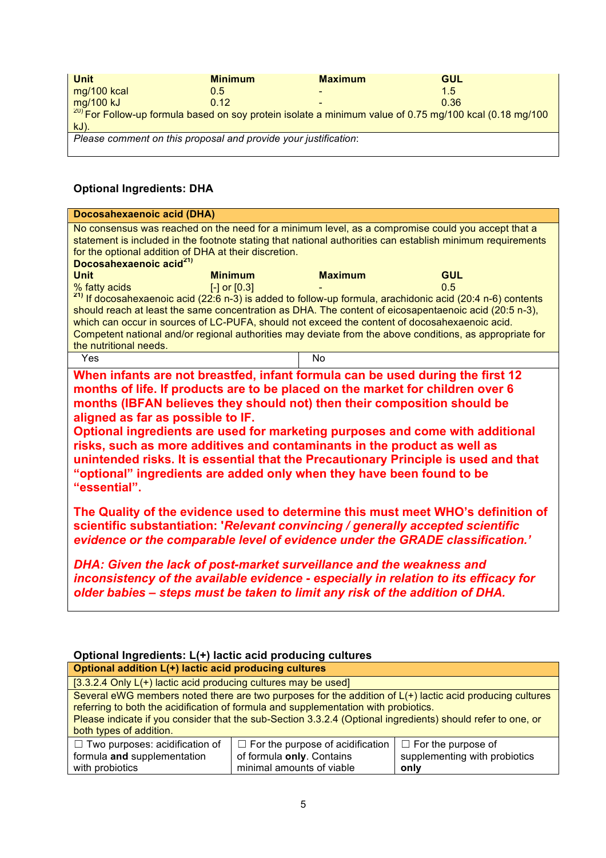| <b>Unit</b>                                                                                                 | <b>Minimum</b> | <b>Maximum</b>           | GUL  |
|-------------------------------------------------------------------------------------------------------------|----------------|--------------------------|------|
| mg/100 kcal                                                                                                 | 0.5            | $\overline{\phantom{0}}$ | 1.5  |
| mg/100 kJ                                                                                                   | 0.12           | $\overline{\phantom{0}}$ | 0.36 |
| $^{20}$ For Follow-up formula based on soy protein isolate a minimum value of 0.75 mg/100 kcal (0.18 mg/100 |                |                          |      |
| $kJ$ ).                                                                                                     |                |                          |      |
| Please comment on this proposal and provide your justification:                                             |                |                          |      |
|                                                                                                             |                |                          |      |

# **Optional Ingredients: DHA**

| <b>Maximum</b>                                                                                                                                                                                                                                                                                                                                                                                                                                                                                                                                                                                                                 | No consensus was reached on the need for a minimum level, as a compromise could you accept that a<br>statement is included in the footnote stating that national authorities can establish minimum requirements<br><b>GUL</b><br>0.5<br><sup>21)</sup> If docosahexaenoic acid (22:6 n-3) is added to follow-up formula, arachidonic acid (20:4 n-6) contents<br>should reach at least the same concentration as DHA. The content of eicosapentaenoic acid (20:5 n-3),<br>which can occur in sources of LC-PUFA, should not exceed the content of docosahexaenoic acid.<br>Competent national and/or regional authorities may deviate from the above conditions, as appropriate for |  |  |
|--------------------------------------------------------------------------------------------------------------------------------------------------------------------------------------------------------------------------------------------------------------------------------------------------------------------------------------------------------------------------------------------------------------------------------------------------------------------------------------------------------------------------------------------------------------------------------------------------------------------------------|-------------------------------------------------------------------------------------------------------------------------------------------------------------------------------------------------------------------------------------------------------------------------------------------------------------------------------------------------------------------------------------------------------------------------------------------------------------------------------------------------------------------------------------------------------------------------------------------------------------------------------------------------------------------------------------|--|--|
| No                                                                                                                                                                                                                                                                                                                                                                                                                                                                                                                                                                                                                             |                                                                                                                                                                                                                                                                                                                                                                                                                                                                                                                                                                                                                                                                                     |  |  |
| When infants are not breastfed, infant formula can be used during the first 12<br>months of life. If products are to be placed on the market for children over 6<br>months (IBFAN believes they should not) then their composition should be<br>aligned as far as possible to IF.<br>Optional ingredients are used for marketing purposes and come with additional<br>risks, such as more additives and contaminants in the product as well as<br>unintended risks. It is essential that the Precautionary Principle is used and that<br>"optional" ingredients are added only when they have been found to be<br>"essential". |                                                                                                                                                                                                                                                                                                                                                                                                                                                                                                                                                                                                                                                                                     |  |  |
| The Quality of the evidence used to determine this must meet WHO's definition of<br>scientific substantiation: 'Relevant convincing / generally accepted scientific<br>evidence or the comparable level of evidence under the GRADE classification.'                                                                                                                                                                                                                                                                                                                                                                           |                                                                                                                                                                                                                                                                                                                                                                                                                                                                                                                                                                                                                                                                                     |  |  |
| DHA: Given the lack of post-market surveillance and the weakness and<br>inconsistency of the available evidence - especially in relation to its efficacy for<br>older babies – steps must be taken to limit any risk of the addition of DHA.                                                                                                                                                                                                                                                                                                                                                                                   |                                                                                                                                                                                                                                                                                                                                                                                                                                                                                                                                                                                                                                                                                     |  |  |
| for the optional addition of DHA at their discretion.                                                                                                                                                                                                                                                                                                                                                                                                                                                                                                                                                                          |                                                                                                                                                                                                                                                                                                                                                                                                                                                                                                                                                                                                                                                                                     |  |  |

# **Optional Ingredients: L(+) lactic acid producing cultures**

| Optional addition L(+) lactic acid producing cultures                                                         |                                                                                                          |      |  |  |
|---------------------------------------------------------------------------------------------------------------|----------------------------------------------------------------------------------------------------------|------|--|--|
| [3.3.2.4 Only $L(+)$ lactic acid producing cultures may be used]                                              |                                                                                                          |      |  |  |
|                                                                                                               | Several eWG members noted there are two purposes for the addition of L(+) lactic acid producing cultures |      |  |  |
| referring to both the acidification of formula and supplementation with probiotics.                           |                                                                                                          |      |  |  |
| Please indicate if you consider that the sub-Section 3.3.2.4 (Optional ingredients) should refer to one, or   |                                                                                                          |      |  |  |
| both types of addition.                                                                                       |                                                                                                          |      |  |  |
| $\Box$ Two purposes: acidification of<br>$\Box$ For the purpose of acidification<br>$\Box$ For the purpose of |                                                                                                          |      |  |  |
| supplementing with probiotics<br>formula and supplementation<br>of formula only. Contains                     |                                                                                                          |      |  |  |
| with probiotics                                                                                               | minimal amounts of viable                                                                                | only |  |  |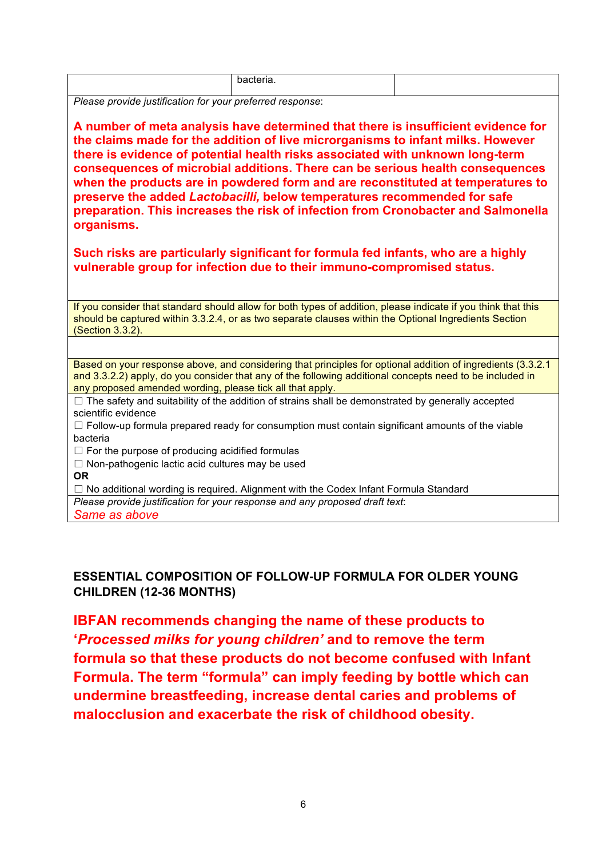| .<br>$\sim$<br>$\sim$<br>. . |  |
|------------------------------|--|
|                              |  |
|                              |  |

*Please provide justification for your preferred response*:

**A number of meta analysis have determined that there is insufficient evidence for the claims made for the addition of live microrganisms to infant milks. However there is evidence of potential health risks associated with unknown long-term consequences of microbial additions. There can be serious health consequences when the products are in powdered form and are reconstituted at temperatures to preserve the added** *Lactobacilli,* **below temperatures recommended for safe preparation. This increases the risk of infection from Cronobacter and Salmonella organisms.**

**Such risks are particularly significant for formula fed infants, who are a highly vulnerable group for infection due to their immuno-compromised status.**

If you consider that standard should allow for both types of addition, please indicate if you think that this should be captured within 3.3.2.4, or as two separate clauses within the Optional Ingredients Section (Section 3.3.2).

Based on your response above, and considering that principles for optional addition of ingredients (3.3.2.1 and 3.3.2.2) apply, do you consider that any of the following additional concepts need to be included in any proposed amended wording, please tick all that apply.

 $\Box$  The safety and suitability of the addition of strains shall be demonstrated by generally accepted scientific evidence

 $\Box$  Follow-up formula prepared ready for consumption must contain significant amounts of the viable bacteria

 $\Box$  For the purpose of producing acidified formulas

☐ Non-pathogenic lactic acid cultures may be used

**OR**

 $\Box$  No additional wording is required. Alignment with the Codex Infant Formula Standard

*Please provide justification for your response and any proposed draft text*: *Same as above*

# **ESSENTIAL COMPOSITION OF FOLLOW-UP FORMULA FOR OLDER YOUNG CHILDREN (12-36 MONTHS)**

**IBFAN recommends changing the name of these products to '***Processed milks for young children'* **and to remove the term formula so that these products do not become confused with Infant Formula. The term "formula" can imply feeding by bottle which can undermine breastfeeding, increase dental caries and problems of malocclusion and exacerbate the risk of childhood obesity.**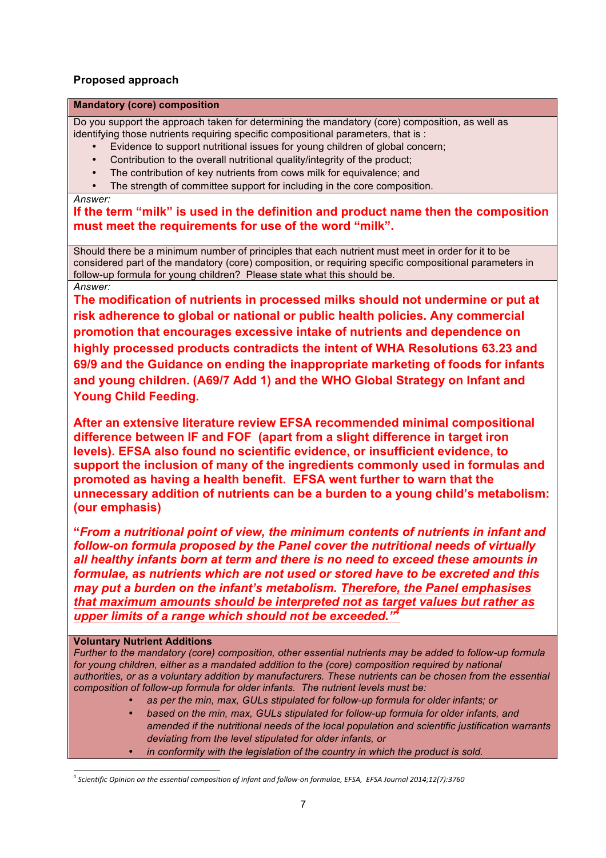## **Proposed approach**

#### **Mandatory (core) composition**

Do you support the approach taken for determining the mandatory (core) composition, as well as identifying those nutrients requiring specific compositional parameters, that is :

- Evidence to support nutritional issues for young children of global concern;
- Contribution to the overall nutritional quality/integrity of the product;
- The contribution of key nutrients from cows milk for equivalence; and
- The strength of committee support for including in the core composition.

*Answer:*

**If the term "milk" is used in the definition and product name then the composition must meet the requirements for use of the word "milk".** 

Should there be a minimum number of principles that each nutrient must meet in order for it to be considered part of the mandatory (core) composition, or requiring specific compositional parameters in follow-up formula for young children? Please state what this should be. *Answer:*

**The modification of nutrients in processed milks should not undermine or put at risk adherence to global or national or public health policies. Any commercial promotion that encourages excessive intake of nutrients and dependence on highly processed products contradicts the intent of WHA Resolutions 63.23 and 69/9 and the Guidance on ending the inappropriate marketing of foods for infants and young children. (A69/7 Add 1) and the WHO Global Strategy on Infant and Young Child Feeding.** 

**After an extensive literature review EFSA recommended minimal compositional difference between IF and FOF (apart from a slight difference in target iron levels). EFSA also found no scientific evidence, or insufficient evidence, to support the inclusion of many of the ingredients commonly used in formulas and promoted as having a health benefit. EFSA went further to warn that the unnecessary addition of nutrients can be a burden to a young child's metabolism: (our emphasis)**

**"***From a nutritional point of view, the minimum contents of nutrients in infant and follow-on formula proposed by the Panel cover the nutritional needs of virtually all healthy infants born at term and there is no need to exceed these amounts in formulae, as nutrients which are not used or stored have to be excreted and this may put a burden on the infant's metabolism. Therefore, the Panel emphasises that maximum amounts should be interpreted not as target values but rather as upper limits of a range which should not be exceeded."4*

### **Voluntary Nutrient Additions**

*Further to the mandatory (core) composition, other essential nutrients may be added to follow-up formula*  for young children, either as a mandated addition to the (core) composition required by national *authorities, or as a voluntary addition by manufacturers. These nutrients can be chosen from the essential composition of follow-up formula for older infants. The nutrient levels must be:*

- *as per the min, max, GULs stipulated for follow-up formula for older infants; or*
- *based on the min, max, GULs stipulated for follow-up formula for older infants, and amended if the nutritional needs of the local population and scientific justification warrants deviating from the level stipulated for older infants, or*
- *in conformity with the legislation of the country in which the product is sold.*

l <sup>4</sup> *Scientific Opinion on the essential composition of infant and follow-on formulae, EFSA, EFSA Journal 2014;12(7):3760*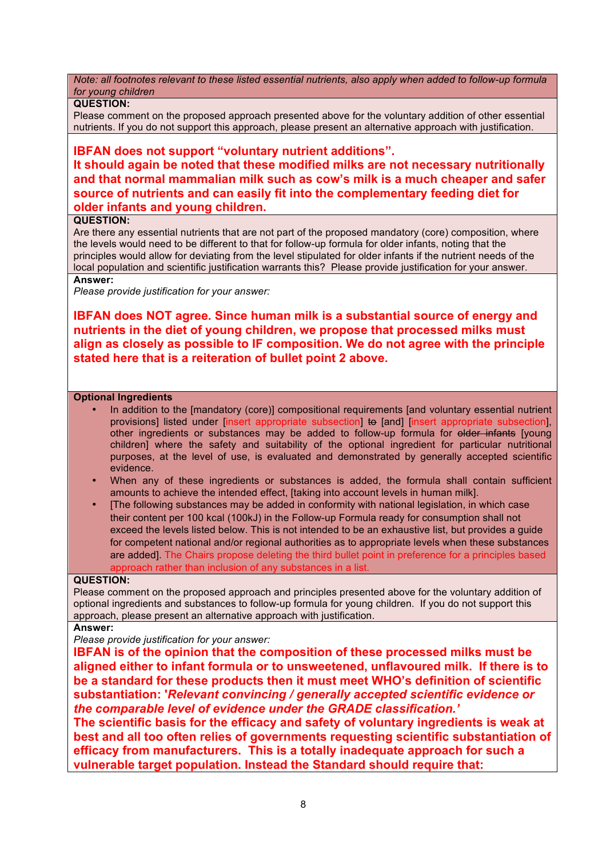*Note: all footnotes relevant to these listed essential nutrients, also apply when added to follow-up formula for young children*

### **QUESTION:**

Please comment on the proposed approach presented above for the voluntary addition of other essential nutrients. If you do not support this approach, please present an alternative approach with justification.

## **IBFAN does not support "voluntary nutrient additions".**

**It should again be noted that these modified milks are not necessary nutritionally and that normal mammalian milk such as cow's milk is a much cheaper and safer source of nutrients and can easily fit into the complementary feeding diet for older infants and young children.**

### **QUESTION:**

Are there any essential nutrients that are not part of the proposed mandatory (core) composition, where the levels would need to be different to that for follow-up formula for older infants, noting that the principles would allow for deviating from the level stipulated for older infants if the nutrient needs of the local population and scientific justification warrants this? Please provide justification for your answer.

#### **Answer:**

*Please provide justification for your answer:*

**IBFAN does NOT agree. Since human milk is a substantial source of energy and nutrients in the diet of young children, we propose that processed milks must align as closely as possible to IF composition. We do not agree with the principle stated here that is a reiteration of bullet point 2 above.** 

#### **Optional Ingredients**

- In addition to the [mandatory (core)] compositional requirements [and voluntary essential nutrient provisions] listed under [insert appropriate subsection] to [and] [insert appropriate subsection], other ingredients or substances may be added to follow-up formula for older infants [young children] where the safety and suitability of the optional ingredient for particular nutritional purposes, at the level of use, is evaluated and demonstrated by generally accepted scientific evidence.
- When any of these ingredients or substances is added, the formula shall contain sufficient amounts to achieve the intended effect, [taking into account levels in human milk].
- [The following substances may be added in conformity with national legislation, in which case their content per 100 kcal (100kJ) in the Follow-up Formula ready for consumption shall not exceed the levels listed below. This is not intended to be an exhaustive list, but provides a guide for competent national and/or regional authorities as to appropriate levels when these substances are added]. The Chairs propose deleting the third bullet point in preference for a principles based approach rather than inclusion of any substances in a list.

## **QUESTION:**

Please comment on the proposed approach and principles presented above for the voluntary addition of optional ingredients and substances to follow-up formula for young children. If you do not support this approach, please present an alternative approach with justification.

#### **Answer:**

*Please provide justification for your answer:*

**IBFAN is of the opinion that the composition of these processed milks must be aligned either to infant formula or to unsweetened, unflavoured milk. If there is to be a standard for these products then it must meet WHO's definition of scientific substantiation: '***Relevant convincing / generally accepted scientific evidence or the comparable level of evidence under the GRADE classification.'* 

**The scientific basis for the efficacy and safety of voluntary ingredients is weak at best and all too often relies of governments requesting scientific substantiation of efficacy from manufacturers. This is a totally inadequate approach for such a vulnerable target population. Instead the Standard should require that:**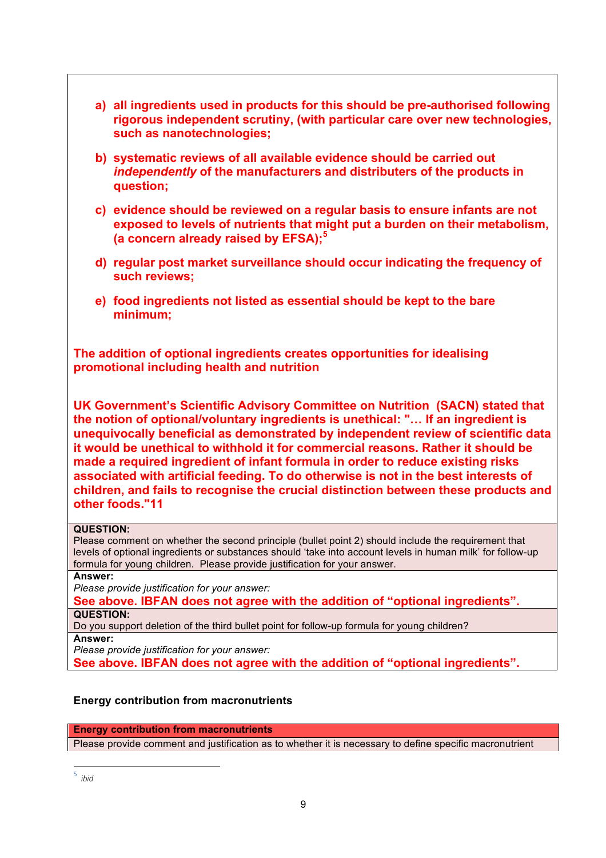|                             | a) all ingredients used in products for this should be pre-authorised following<br>rigorous independent scrutiny, (with particular care over new technologies,<br>such as nanotechnologies;                                                                                                                                                                                                                                                                                                                                                                                                                                   |
|-----------------------------|-------------------------------------------------------------------------------------------------------------------------------------------------------------------------------------------------------------------------------------------------------------------------------------------------------------------------------------------------------------------------------------------------------------------------------------------------------------------------------------------------------------------------------------------------------------------------------------------------------------------------------|
|                             | b) systematic reviews of all available evidence should be carried out<br>independently of the manufacturers and distributers of the products in<br>question;                                                                                                                                                                                                                                                                                                                                                                                                                                                                  |
|                             | c) evidence should be reviewed on a regular basis to ensure infants are not<br>exposed to levels of nutrients that might put a burden on their metabolism,<br>(a concern already raised by EFSA); <sup>5</sup>                                                                                                                                                                                                                                                                                                                                                                                                                |
|                             | d) regular post market surveillance should occur indicating the frequency of<br>such reviews;                                                                                                                                                                                                                                                                                                                                                                                                                                                                                                                                 |
|                             | e) food ingredients not listed as essential should be kept to the bare<br>minimum;                                                                                                                                                                                                                                                                                                                                                                                                                                                                                                                                            |
|                             | The addition of optional ingredients creates opportunities for idealising<br>promotional including health and nutrition                                                                                                                                                                                                                                                                                                                                                                                                                                                                                                       |
|                             | UK Government's Scientific Advisory Committee on Nutrition (SACN) stated that<br>the notion of optional/voluntary ingredients is unethical: " If an ingredient is<br>unequivocally beneficial as demonstrated by independent review of scientific data<br>it would be unethical to withhold it for commercial reasons. Rather it should be<br>made a required ingredient of infant formula in order to reduce existing risks<br>associated with artificial feeding. To do otherwise is not in the best interests of<br>children, and fails to recognise the crucial distinction between these products and<br>other foods."11 |
| <b>QUESTION:</b>            | Please comment on whether the second principle (bullet point 2) should include the requirement that<br>levels of optional ingredients or substances should 'take into account levels in human milk' for follow-up<br>formula for young children. Please provide justification for your answer.                                                                                                                                                                                                                                                                                                                                |
| Answer:                     | Please provide justification for your answer:<br>See above. IBFAN does not agree with the addition of "optional ingredients".                                                                                                                                                                                                                                                                                                                                                                                                                                                                                                 |
| <b>QUESTION:</b><br>Answer: | Do you support deletion of the third bullet point for follow-up formula for young children?                                                                                                                                                                                                                                                                                                                                                                                                                                                                                                                                   |
|                             |                                                                                                                                                                                                                                                                                                                                                                                                                                                                                                                                                                                                                               |

*Please provide justification for your answer:* **See above. IBFAN does not agree with the addition of "optional ingredients".**

## **Energy contribution from macronutrients**

**Energy contribution from macronutrients**

Please provide comment and justification as to whether it is necessary to define specific macronutrient

l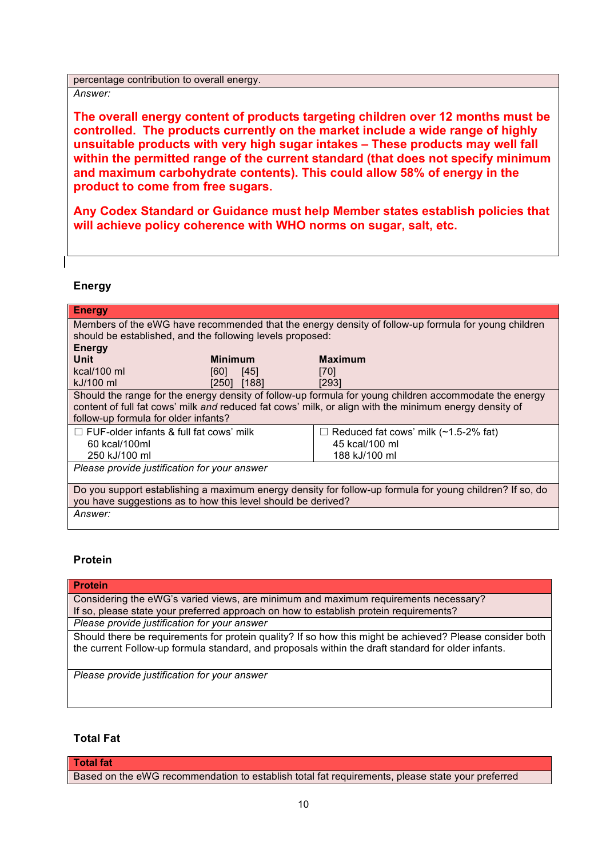percentage contribution to overall energy.

*Answer:*

**The overall energy content of products targeting children over 12 months must be controlled. The products currently on the market include a wide range of highly unsuitable products with very high sugar intakes – These products may well fall within the permitted range of the current standard (that does not specify minimum and maximum carbohydrate contents). This could allow 58% of energy in the product to come from free sugars.** 

**Any Codex Standard or Guidance must help Member states establish policies that will achieve policy coherence with WHO norms on sugar, salt, etc.**

### **Energy**

| <b>Energy</b>                                                                                            |                |                                                                                                        |  |
|----------------------------------------------------------------------------------------------------------|----------------|--------------------------------------------------------------------------------------------------------|--|
|                                                                                                          |                | Members of the eWG have recommended that the energy density of follow-up formula for young children    |  |
| should be established, and the following levels proposed:                                                |                |                                                                                                        |  |
| <b>Energy</b>                                                                                            |                |                                                                                                        |  |
| Unit                                                                                                     | <b>Minimum</b> | <b>Maximum</b>                                                                                         |  |
| kcal/100 ml                                                                                              | [60]<br>[45]   | [70]                                                                                                   |  |
| kJ/100 ml                                                                                                | [188]<br>[250] | [293]                                                                                                  |  |
|                                                                                                          |                | Should the range for the energy density of follow-up formula for young children accommodate the energy |  |
|                                                                                                          |                | content of full fat cows' milk and reduced fat cows' milk, or align with the minimum energy density of |  |
| follow-up formula for older infants?                                                                     |                |                                                                                                        |  |
| $\Box$ FUF-older infants & full fat cows' milk                                                           |                | Reduced fat cows' milk (~1.5-2% fat)                                                                   |  |
| 60 kcal/100ml                                                                                            |                | 45 kcal/100 ml                                                                                         |  |
| 250 kJ/100 ml                                                                                            |                | 188 kJ/100 ml                                                                                          |  |
| Please provide justification for your answer                                                             |                |                                                                                                        |  |
|                                                                                                          |                |                                                                                                        |  |
| Do you support establishing a maximum energy density for follow-up formula for young children? If so, do |                |                                                                                                        |  |
| you have suggestions as to how this level should be derived?                                             |                |                                                                                                        |  |
| Answer:                                                                                                  |                |                                                                                                        |  |

## **Protein**

**Protein** Considering the eWG's varied views, are minimum and maximum requirements necessary? If so, please state your preferred approach on how to establish protein requirements? *Please provide justification for your answer* Should there be requirements for protein quality? If so how this might be achieved? Please consider both the current Follow-up formula standard, and proposals within the draft standard for older infants.

*Please provide justification for your answer*

## **Total Fat**

**Total fat**

Based on the eWG recommendation to establish total fat requirements, please state your preferred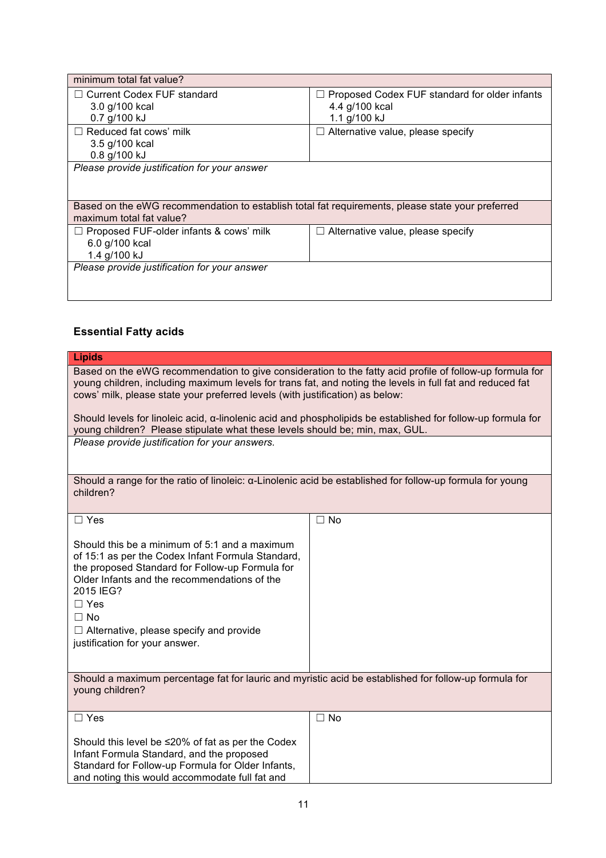| minimum total fat value?                                                                         |                                                      |  |  |  |
|--------------------------------------------------------------------------------------------------|------------------------------------------------------|--|--|--|
| $\Box$ Current Codex FUF standard                                                                | $\Box$ Proposed Codex FUF standard for older infants |  |  |  |
| 3.0 g/100 kcal                                                                                   | 4.4 g/100 kcal                                       |  |  |  |
| 0.7 g/100 kJ                                                                                     | 1.1 g/100 kJ                                         |  |  |  |
| $\Box$ Reduced fat cows' milk                                                                    | $\Box$ Alternative value, please specify             |  |  |  |
| 3.5 g/100 kcal                                                                                   |                                                      |  |  |  |
| 0.8 g/100 kJ                                                                                     |                                                      |  |  |  |
| Please provide justification for your answer                                                     |                                                      |  |  |  |
|                                                                                                  |                                                      |  |  |  |
|                                                                                                  |                                                      |  |  |  |
| Based on the eWG recommendation to establish total fat requirements, please state your preferred |                                                      |  |  |  |
| maximum total fat value?                                                                         |                                                      |  |  |  |
| $\Box$ Proposed FUF-older infants & cows' milk                                                   | $\Box$ Alternative value, please specify             |  |  |  |
| 6.0 g/100 kcal                                                                                   |                                                      |  |  |  |
| 1.4 g/100 kJ                                                                                     |                                                      |  |  |  |
| Please provide justification for your answer                                                     |                                                      |  |  |  |
|                                                                                                  |                                                      |  |  |  |
|                                                                                                  |                                                      |  |  |  |

# **Essential Fatty acids**

| <b>Lipids</b>                                                                                                                                                                                                                                                                                                                     |           |  |
|-----------------------------------------------------------------------------------------------------------------------------------------------------------------------------------------------------------------------------------------------------------------------------------------------------------------------------------|-----------|--|
| Based on the eWG recommendation to give consideration to the fatty acid profile of follow-up formula for<br>young children, including maximum levels for trans fat, and noting the levels in full fat and reduced fat<br>cows' milk, please state your preferred levels (with justification) as below:                            |           |  |
| Should levels for linoleic acid, $\alpha$ -linolenic acid and phospholipids be established for follow-up formula for<br>young children? Please stipulate what these levels should be; min, max, GUL.                                                                                                                              |           |  |
| Please provide justification for your answers.                                                                                                                                                                                                                                                                                    |           |  |
| Should a range for the ratio of linoleic: a-Linolenic acid be established for follow-up formula for young<br>children?                                                                                                                                                                                                            |           |  |
| $\Box$ Yes                                                                                                                                                                                                                                                                                                                        | $\Box$ No |  |
| Should this be a minimum of 5:1 and a maximum<br>of 15:1 as per the Codex Infant Formula Standard,<br>the proposed Standard for Follow-up Formula for<br>Older Infants and the recommendations of the<br>2015 IEG?<br>$\Box$ Yes<br>$\Box$ No<br>$\Box$ Alternative, please specify and provide<br>justification for your answer. |           |  |
| Should a maximum percentage fat for lauric and myristic acid be established for follow-up formula for<br>young children?                                                                                                                                                                                                          |           |  |
| $\Box$ Yes                                                                                                                                                                                                                                                                                                                        | $\Box$ No |  |
| Should this level be ≤20% of fat as per the Codex<br>Infant Formula Standard, and the proposed<br>Standard for Follow-up Formula for Older Infants,<br>and noting this would accommodate full fat and                                                                                                                             |           |  |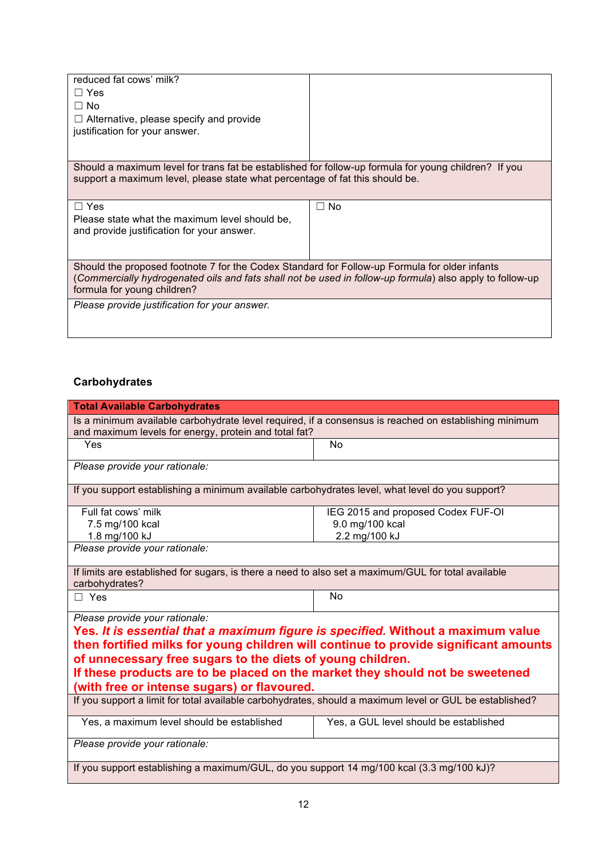| reduced fat cows' milk?<br>$\Box$ Yes<br>$\Box$ No<br>$\Box$ Alternative, please specify and provide<br>justification for your answer.                                                                                                   |      |  |
|------------------------------------------------------------------------------------------------------------------------------------------------------------------------------------------------------------------------------------------|------|--|
| Should a maximum level for trans fat be established for follow-up formula for young children? If you<br>support a maximum level, please state what percentage of fat this should be.                                                     |      |  |
| $\Box$ Yes<br>Please state what the maximum level should be.<br>and provide justification for your answer.                                                                                                                               | ⊐ No |  |
| Should the proposed footnote 7 for the Codex Standard for Follow-up Formula for older infants<br>(Commercially hydrogenated oils and fats shall not be used in follow-up formula) also apply to follow-up<br>formula for young children? |      |  |
| Please provide justification for your answer.                                                                                                                                                                                            |      |  |

# **Carbohydrates**

| <b>Total Available Carbohydrates</b>                                                                                  |                                                                                  |  |  |
|-----------------------------------------------------------------------------------------------------------------------|----------------------------------------------------------------------------------|--|--|
| Is a minimum available carbohydrate level required, if a consensus is reached on establishing minimum                 |                                                                                  |  |  |
| and maximum levels for energy, protein and total fat?                                                                 |                                                                                  |  |  |
| Yes                                                                                                                   | <b>No</b>                                                                        |  |  |
| Please provide your rationale:                                                                                        |                                                                                  |  |  |
| If you support establishing a minimum available carbohydrates level, what level do you support?                       |                                                                                  |  |  |
| Full fat cows' milk                                                                                                   | IEG 2015 and proposed Codex FUF-OI                                               |  |  |
| 7.5 mg/100 kcal                                                                                                       | 9.0 mg/100 kcal                                                                  |  |  |
| 1.8 mg/100 kJ                                                                                                         | 2.2 mg/100 kJ                                                                    |  |  |
| Please provide your rationale:                                                                                        |                                                                                  |  |  |
| If limits are established for sugars, is there a need to also set a maximum/GUL for total available<br>carbohydrates? |                                                                                  |  |  |
| $\Box$ Yes                                                                                                            | <b>No</b>                                                                        |  |  |
| Please provide your rationale:                                                                                        |                                                                                  |  |  |
|                                                                                                                       | Yes. It is essential that a maximum figure is specified. Without a maximum value |  |  |
| then fortified milks for young children will continue to provide significant amounts                                  |                                                                                  |  |  |
| of unnecessary free sugars to the diets of young children.                                                            |                                                                                  |  |  |
| If these products are to be placed on the market they should not be sweetened                                         |                                                                                  |  |  |
| (with free or intense sugars) or flavoured.                                                                           |                                                                                  |  |  |
| If you support a limit for total available carbohydrates, should a maximum level or GUL be established?               |                                                                                  |  |  |
| Yes, a maximum level should be established                                                                            | Yes, a GUL level should be established                                           |  |  |
| Please provide your rationale:                                                                                        |                                                                                  |  |  |
| If you support establishing a maximum/GUL, do you support 14 mg/100 kcal (3.3 mg/100 kJ)?                             |                                                                                  |  |  |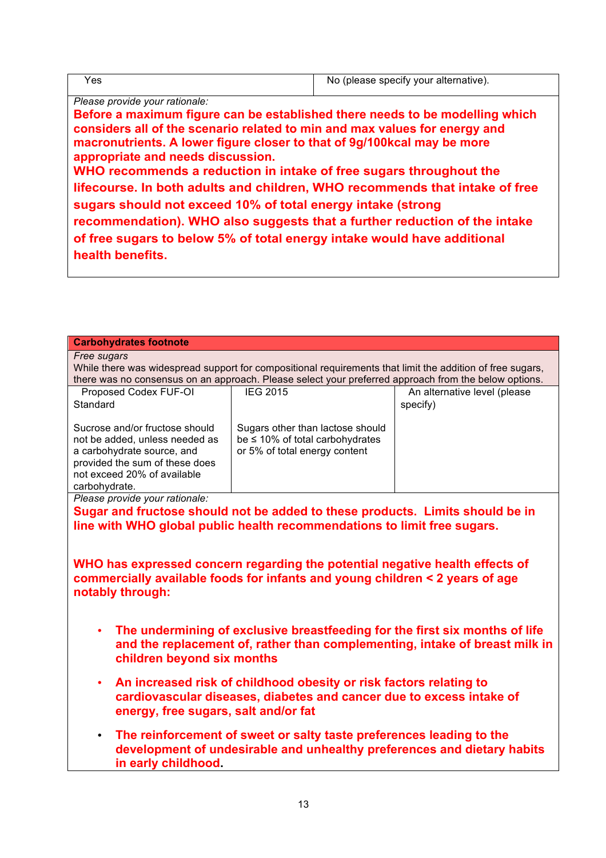| Yes                                                                                                                                                                                                                                                                                                                                                                                                                                                                                                                                                                                                                                                                                                          | No (please specify your alternative). |
|--------------------------------------------------------------------------------------------------------------------------------------------------------------------------------------------------------------------------------------------------------------------------------------------------------------------------------------------------------------------------------------------------------------------------------------------------------------------------------------------------------------------------------------------------------------------------------------------------------------------------------------------------------------------------------------------------------------|---------------------------------------|
| Please provide your rationale:<br>Before a maximum figure can be established there needs to be modelling which<br>considers all of the scenario related to min and max values for energy and<br>macronutrients. A lower figure closer to that of 9g/100kcal may be more<br>appropriate and needs discussion.<br>WHO recommends a reduction in intake of free sugars throughout the<br>lifecourse. In both adults and children, WHO recommends that intake of free<br>sugars should not exceed 10% of total energy intake (strong<br>recommendation). WHO also suggests that a further reduction of the intake<br>of free sugars to below 5% of total energy intake would have additional<br>health benefits. |                                       |

| <b>Carbohydrates footnote</b>                                                                                                                                                                                     |                                                                               |                              |  |  |
|-------------------------------------------------------------------------------------------------------------------------------------------------------------------------------------------------------------------|-------------------------------------------------------------------------------|------------------------------|--|--|
| Free sugars                                                                                                                                                                                                       |                                                                               |                              |  |  |
| While there was widespread support for compositional requirements that limit the addition of free sugars,<br>there was no consensus on an approach. Please select your preferred approach from the below options. |                                                                               |                              |  |  |
| Proposed Codex FUF-OI                                                                                                                                                                                             | <b>IEG 2015</b>                                                               | An alternative level (please |  |  |
| Standard                                                                                                                                                                                                          |                                                                               | specify)                     |  |  |
|                                                                                                                                                                                                                   |                                                                               |                              |  |  |
| Sucrose and/or fructose should                                                                                                                                                                                    | Sugars other than lactose should                                              |                              |  |  |
| not be added, unless needed as                                                                                                                                                                                    | be ≤ 10% of total carbohydrates                                               |                              |  |  |
| a carbohydrate source, and                                                                                                                                                                                        | or 5% of total energy content                                                 |                              |  |  |
| provided the sum of these does<br>not exceed 20% of available                                                                                                                                                     |                                                                               |                              |  |  |
| carbohydrate.                                                                                                                                                                                                     |                                                                               |                              |  |  |
| Please provide your rationale:                                                                                                                                                                                    |                                                                               |                              |  |  |
|                                                                                                                                                                                                                   | Sugar and fructose should not be added to these products. Limits should be in |                              |  |  |
|                                                                                                                                                                                                                   | line with WHO global public health recommendations to limit free sugars.      |                              |  |  |
|                                                                                                                                                                                                                   |                                                                               |                              |  |  |
|                                                                                                                                                                                                                   |                                                                               |                              |  |  |
|                                                                                                                                                                                                                   | WHO has expressed concern regarding the potential negative health effects of  |                              |  |  |
|                                                                                                                                                                                                                   | commercially available foods for infants and young children < 2 years of age  |                              |  |  |
| notably through:                                                                                                                                                                                                  |                                                                               |                              |  |  |
|                                                                                                                                                                                                                   |                                                                               |                              |  |  |
|                                                                                                                                                                                                                   |                                                                               |                              |  |  |
|                                                                                                                                                                                                                   | The undermining of exclusive breastfeeding for the first six months of life   |                              |  |  |
|                                                                                                                                                                                                                   | and the replacement of, rather than complementing, intake of breast milk in   |                              |  |  |
| children beyond six months                                                                                                                                                                                        |                                                                               |                              |  |  |
| $\bullet$                                                                                                                                                                                                         | An increased risk of childhood obesity or risk factors relating to            |                              |  |  |
|                                                                                                                                                                                                                   | cardiovascular diseases, diabetes and cancer due to excess intake of          |                              |  |  |
|                                                                                                                                                                                                                   |                                                                               |                              |  |  |
| energy, free sugars, salt and/or fat                                                                                                                                                                              |                                                                               |                              |  |  |
| The reinforcement of sweet or salty taste preferences leading to the<br>$\bullet$                                                                                                                                 |                                                                               |                              |  |  |
| development of undesirable and unhealthy preferences and dietary habits                                                                                                                                           |                                                                               |                              |  |  |
| in early childhood.                                                                                                                                                                                               |                                                                               |                              |  |  |
|                                                                                                                                                                                                                   |                                                                               |                              |  |  |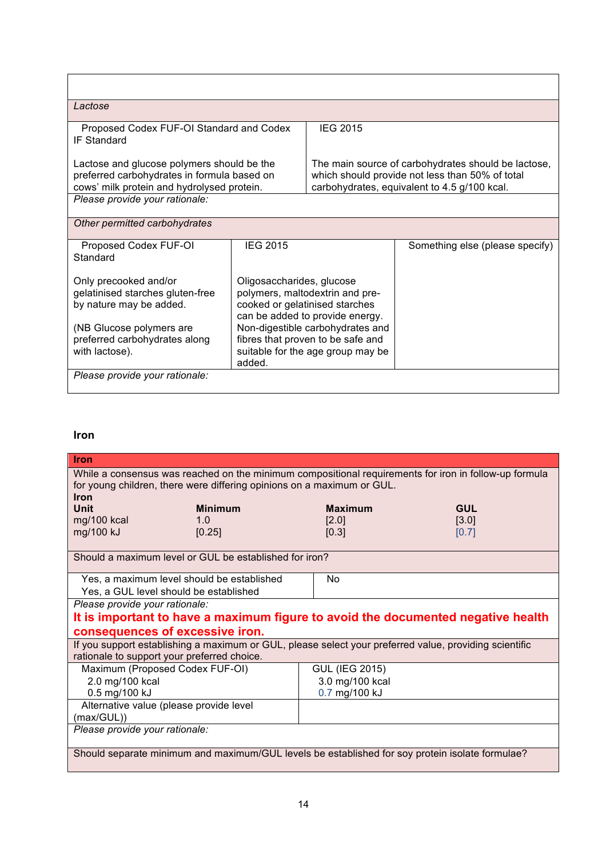| Lactose                                                                                                                                                             |                                                                                                                                                                                                                                                           |                                                                                                                                                        |                                 |  |  |
|---------------------------------------------------------------------------------------------------------------------------------------------------------------------|-----------------------------------------------------------------------------------------------------------------------------------------------------------------------------------------------------------------------------------------------------------|--------------------------------------------------------------------------------------------------------------------------------------------------------|---------------------------------|--|--|
| Proposed Codex FUF-OI Standard and Codex<br><b>IF Standard</b>                                                                                                      |                                                                                                                                                                                                                                                           | <b>IEG 2015</b>                                                                                                                                        |                                 |  |  |
| Lactose and glucose polymers should be the<br>preferred carbohydrates in formula based on<br>cows' milk protein and hydrolysed protein.                             |                                                                                                                                                                                                                                                           | The main source of carbohydrates should be lactose,<br>which should provide not less than 50% of total<br>carbohydrates, equivalent to 4.5 g/100 kcal. |                                 |  |  |
| Please provide your rationale:                                                                                                                                      |                                                                                                                                                                                                                                                           |                                                                                                                                                        |                                 |  |  |
| Other permitted carbohydrates                                                                                                                                       |                                                                                                                                                                                                                                                           |                                                                                                                                                        |                                 |  |  |
| Proposed Codex FUF-OI<br>Standard                                                                                                                                   | <b>IEG 2015</b>                                                                                                                                                                                                                                           |                                                                                                                                                        | Something else (please specify) |  |  |
| Only precooked and/or<br>gelatinised starches gluten-free<br>by nature may be added.<br>(NB Glucose polymers are<br>preferred carbohydrates along<br>with lactose). | Oligosaccharides, glucose<br>polymers, maltodextrin and pre-<br>cooked or gelatinised starches<br>can be added to provide energy.<br>Non-digestible carbohydrates and<br>fibres that proven to be safe and<br>suitable for the age group may be<br>added. |                                                                                                                                                        |                                 |  |  |
| Please provide your rationale:                                                                                                                                      |                                                                                                                                                                                                                                                           |                                                                                                                                                        |                                 |  |  |

# **Iron**

| Iron                                                                                                                                                  |                |                       |                                                                                                       |
|-------------------------------------------------------------------------------------------------------------------------------------------------------|----------------|-----------------------|-------------------------------------------------------------------------------------------------------|
| for young children, there were differing opinions on a maximum or GUL.<br><b>Iron</b>                                                                 |                |                       | While a consensus was reached on the minimum compositional requirements for iron in follow-up formula |
| Unit                                                                                                                                                  | <b>Minimum</b> | <b>Maximum</b>        | <b>GUL</b>                                                                                            |
| mg/100 kcal                                                                                                                                           | 1.0            | [2.0]                 | [3.0]                                                                                                 |
| mg/100 kJ                                                                                                                                             | [0.25]         | [0.3]                 | [0.7]                                                                                                 |
| Should a maximum level or GUL be established for iron?                                                                                                |                |                       |                                                                                                       |
|                                                                                                                                                       |                |                       |                                                                                                       |
| Yes, a maximum level should be established                                                                                                            |                | No                    |                                                                                                       |
| Yes, a GUL level should be established                                                                                                                |                |                       |                                                                                                       |
| Please provide your rationale:                                                                                                                        |                |                       |                                                                                                       |
| It is important to have a maximum figure to avoid the documented negative health                                                                      |                |                       |                                                                                                       |
| consequences of excessive iron.                                                                                                                       |                |                       |                                                                                                       |
| If you support establishing a maximum or GUL, please select your preferred value, providing scientific<br>rationale to support your preferred choice. |                |                       |                                                                                                       |
| Maximum (Proposed Codex FUF-OI)                                                                                                                       |                | <b>GUL (IEG 2015)</b> |                                                                                                       |
| 2.0 mg/100 kcal                                                                                                                                       |                | 3.0 mg/100 kcal       |                                                                                                       |
| 0.5 mg/100 kJ                                                                                                                                         |                | 0.7 mg/100 kJ         |                                                                                                       |
| Alternative value (please provide level                                                                                                               |                |                       |                                                                                                       |
| (max/GUL))                                                                                                                                            |                |                       |                                                                                                       |
| Please provide your rationale:                                                                                                                        |                |                       |                                                                                                       |
|                                                                                                                                                       |                |                       |                                                                                                       |
| Should separate minimum and maximum/GUL levels be established for soy protein isolate formulae?                                                       |                |                       |                                                                                                       |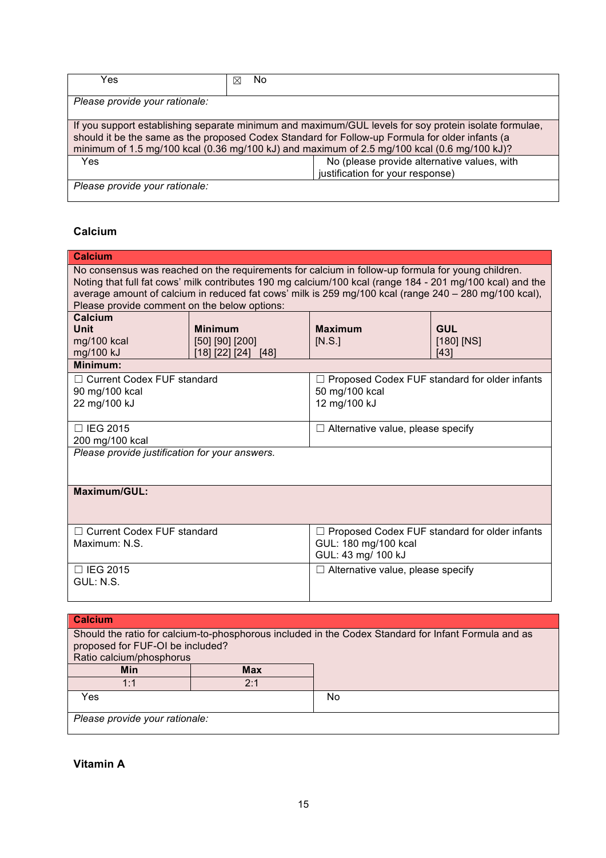| Yes                                                                                                                                                                                                                                                                                                     | No<br>⊠ |  |
|---------------------------------------------------------------------------------------------------------------------------------------------------------------------------------------------------------------------------------------------------------------------------------------------------------|---------|--|
| Please provide your rationale:                                                                                                                                                                                                                                                                          |         |  |
| If you support establishing separate minimum and maximum/GUL levels for soy protein isolate formulae,<br>should it be the same as the proposed Codex Standard for Follow-up Formula for older infants (a<br>minimum of 1.5 mg/100 kcal (0.36 mg/100 kJ) and maximum of 2.5 mg/100 kcal (0.6 mg/100 kJ)? |         |  |
| No (please provide alternative values, with<br><b>Yes</b><br>justification for your response)                                                                                                                                                                                                           |         |  |
| Please provide your rationale:                                                                                                                                                                                                                                                                          |         |  |

# **Calcium**

| <b>Calcium</b>                                                                                                                                                                                                                                                                                                                                                          |                                   |                                                                                                      |                            |
|-------------------------------------------------------------------------------------------------------------------------------------------------------------------------------------------------------------------------------------------------------------------------------------------------------------------------------------------------------------------------|-----------------------------------|------------------------------------------------------------------------------------------------------|----------------------------|
| No consensus was reached on the requirements for calcium in follow-up formula for young children.<br>Noting that full fat cows' milk contributes 190 mg calcium/100 kcal (range 184 - 201 mg/100 kcal) and the<br>average amount of calcium in reduced fat cows' milk is 259 mg/100 kcal (range 240 - 280 mg/100 kcal),<br>Please provide comment on the below options: |                                   |                                                                                                      |                            |
| Calcium                                                                                                                                                                                                                                                                                                                                                                 |                                   |                                                                                                      |                            |
| <b>Unit</b><br>mg/100 kcal                                                                                                                                                                                                                                                                                                                                              | <b>Minimum</b><br>[50] [90] [200] | <b>Maximum</b><br>[N.S.]                                                                             | <b>GUL</b><br>$[180]$ [NS] |
| mg/100 kJ                                                                                                                                                                                                                                                                                                                                                               | [18] [22] [24] [48]               |                                                                                                      | [43]                       |
| Minimum:                                                                                                                                                                                                                                                                                                                                                                |                                   |                                                                                                      |                            |
| □ Current Codex FUF standard                                                                                                                                                                                                                                                                                                                                            |                                   | $\Box$ Proposed Codex FUF standard for older infants                                                 |                            |
| 90 mg/100 kcal                                                                                                                                                                                                                                                                                                                                                          |                                   | 50 mg/100 kcal                                                                                       |                            |
| 22 mg/100 kJ                                                                                                                                                                                                                                                                                                                                                            |                                   | 12 mg/100 kJ                                                                                         |                            |
| □ IEG 2015<br>$\Box$ Alternative value, please specify                                                                                                                                                                                                                                                                                                                  |                                   |                                                                                                      |                            |
| 200 mg/100 kcal                                                                                                                                                                                                                                                                                                                                                         |                                   |                                                                                                      |                            |
| Please provide justification for your answers.                                                                                                                                                                                                                                                                                                                          |                                   |                                                                                                      |                            |
| <b>Maximum/GUL:</b>                                                                                                                                                                                                                                                                                                                                                     |                                   |                                                                                                      |                            |
| □ Current Codex FUF standard                                                                                                                                                                                                                                                                                                                                            |                                   | $\Box$ Proposed Codex FUF standard for older infants                                                 |                            |
| Maximum: N.S.                                                                                                                                                                                                                                                                                                                                                           |                                   | GUL: 180 mg/100 kcal<br>GUL: 43 mg/ 100 kJ                                                           |                            |
| □ IEG 2015<br>$\Box$ Alternative value, please specify                                                                                                                                                                                                                                                                                                                  |                                   |                                                                                                      |                            |
| GUL: N.S.                                                                                                                                                                                                                                                                                                                                                               |                                   |                                                                                                      |                            |
|                                                                                                                                                                                                                                                                                                                                                                         |                                   |                                                                                                      |                            |
| <b>Calcium</b>                                                                                                                                                                                                                                                                                                                                                          |                                   |                                                                                                      |                            |
|                                                                                                                                                                                                                                                                                                                                                                         |                                   | Should the ratio for calcium-to-phosphorous included in the Codex Standard for Infant Formula and as |                            |
| proposed for FUF-OI be included?                                                                                                                                                                                                                                                                                                                                        |                                   |                                                                                                      |                            |
| Ratio calcium/phosphorus                                                                                                                                                                                                                                                                                                                                                |                                   |                                                                                                      |                            |
| Min                                                                                                                                                                                                                                                                                                                                                                     | Max                               |                                                                                                      |                            |

| Min                            | <b>Max</b> |    |
|--------------------------------|------------|----|
| 1:1<br>. .                     | 0.4        |    |
| Yes                            |            | No |
| Please provide your rationale: |            |    |

**Vitamin A**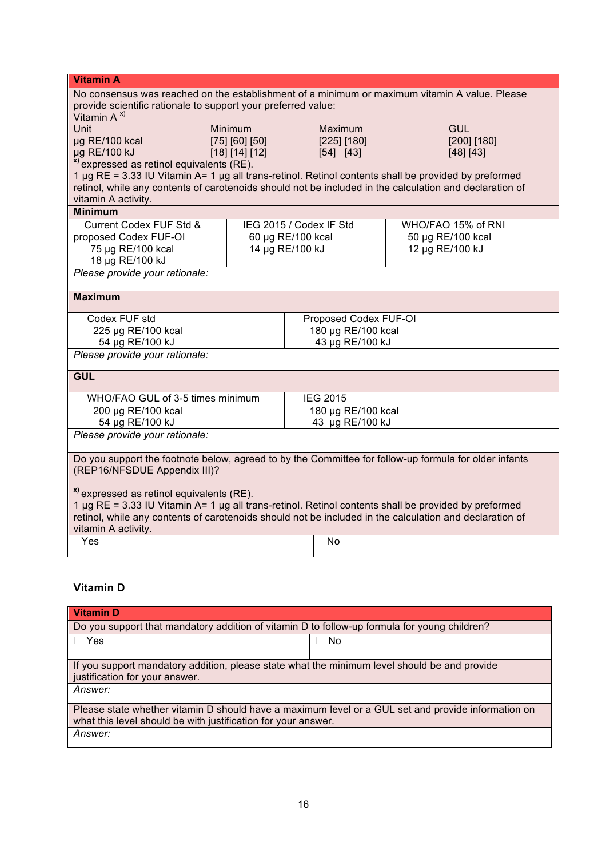| <b>Vitamin A</b>                                                                                                                                                                                                |                                      |                    |                       |                                      |
|-----------------------------------------------------------------------------------------------------------------------------------------------------------------------------------------------------------------|--------------------------------------|--------------------|-----------------------|--------------------------------------|
| No consensus was reached on the establishment of a minimum or maximum vitamin A value. Please                                                                                                                   |                                      |                    |                       |                                      |
| provide scientific rationale to support your preferred value:                                                                                                                                                   |                                      |                    |                       |                                      |
| Vitamin $A^{x}$<br>Unit                                                                                                                                                                                         | <b>Minimum</b>                       |                    | Maximum               | <b>GUL</b>                           |
| µg RE/100 kcal                                                                                                                                                                                                  | [75] [60] [50]                       |                    | [225] [180]           | [200] [180]                          |
| µg RE/100 kJ                                                                                                                                                                                                    | [18] [14] [12]                       |                    | [54] [43]             | [48] [43]                            |
| <sup>x)</sup> expressed as retinol equivalents (RE).                                                                                                                                                            |                                      |                    |                       |                                      |
| 1 µg RE = 3.33 IU Vitamin A= 1 µg all trans-retinol. Retinol contents shall be provided by preformed                                                                                                            |                                      |                    |                       |                                      |
| retinol, while any contents of carotenoids should not be included in the calculation and declaration of                                                                                                         |                                      |                    |                       |                                      |
| vitamin A activity.                                                                                                                                                                                             |                                      |                    |                       |                                      |
| <b>Minimum</b>                                                                                                                                                                                                  |                                      |                    |                       |                                      |
| Current Codex FUF Std &                                                                                                                                                                                         | IEG 2015 / Codex IF Std              |                    |                       | WHO/FAO 15% of RNI                   |
| proposed Codex FUF-OI<br>75 µg RE/100 kcal                                                                                                                                                                      | 60 µg RE/100 kcal<br>14 µg RE/100 kJ |                    |                       | 50 µg RE/100 kcal<br>12 µg RE/100 kJ |
| 18 µg RE/100 kJ                                                                                                                                                                                                 |                                      |                    |                       |                                      |
| Please provide your rationale:                                                                                                                                                                                  |                                      |                    |                       |                                      |
|                                                                                                                                                                                                                 |                                      |                    |                       |                                      |
| <b>Maximum</b>                                                                                                                                                                                                  |                                      |                    |                       |                                      |
| Codex FUF std                                                                                                                                                                                                   |                                      |                    | Proposed Codex FUF-OI |                                      |
| 225 µg RE/100 kcal                                                                                                                                                                                              |                                      |                    | 180 µg RE/100 kcal    |                                      |
| 54 µg RE/100 kJ                                                                                                                                                                                                 |                                      |                    | 43 µg RE/100 kJ       |                                      |
| Please provide your rationale:                                                                                                                                                                                  |                                      |                    |                       |                                      |
| <b>GUL</b>                                                                                                                                                                                                      |                                      |                    |                       |                                      |
| WHO/FAO GUL of 3-5 times minimum                                                                                                                                                                                |                                      |                    | <b>IEG 2015</b>       |                                      |
| 200 µg RE/100 kcal                                                                                                                                                                                              |                                      | 180 µg RE/100 kcal |                       |                                      |
| 54 µg RE/100 kJ                                                                                                                                                                                                 |                                      |                    | 43 µg RE/100 kJ       |                                      |
| Please provide your rationale:                                                                                                                                                                                  |                                      |                    |                       |                                      |
| Do you support the footnote below, agreed to by the Committee for follow-up formula for older infants                                                                                                           |                                      |                    |                       |                                      |
| (REP16/NFSDUE Appendix III)?                                                                                                                                                                                    |                                      |                    |                       |                                      |
|                                                                                                                                                                                                                 |                                      |                    |                       |                                      |
| <sup>x)</sup> expressed as retinol equivalents (RE).                                                                                                                                                            |                                      |                    |                       |                                      |
| 1 µg RE = 3.33 IU Vitamin A= 1 µg all trans-retinol. Retinol contents shall be provided by preformed<br>retinol, while any contents of carotenoids should not be included in the calculation and declaration of |                                      |                    |                       |                                      |
| vitamin A activity.                                                                                                                                                                                             |                                      |                    |                       |                                      |
| Yes                                                                                                                                                                                                             |                                      |                    | <b>No</b>             |                                      |
|                                                                                                                                                                                                                 |                                      |                    |                       |                                      |

# **Vitamin D**

| <b>Vitamin D</b>                                                                                                                                                    |           |  |
|---------------------------------------------------------------------------------------------------------------------------------------------------------------------|-----------|--|
| Do you support that mandatory addition of vitamin D to follow-up formula for young children?                                                                        |           |  |
| $\Box$ Yes                                                                                                                                                          | $\Box$ No |  |
|                                                                                                                                                                     |           |  |
| If you support mandatory addition, please state what the minimum level should be and provide<br>justification for your answer.                                      |           |  |
| <i>Answer:</i>                                                                                                                                                      |           |  |
| Please state whether vitamin D should have a maximum level or a GUL set and provide information on<br>what this level should be with justification for your answer. |           |  |
| Answer:                                                                                                                                                             |           |  |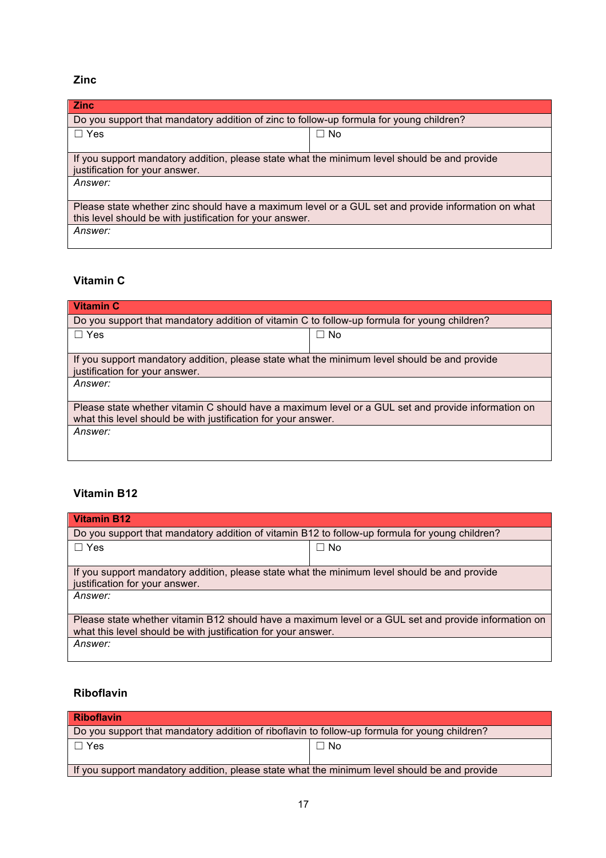## **Zinc**

| <b>Zinc</b>                                                                                                                    |           |  |
|--------------------------------------------------------------------------------------------------------------------------------|-----------|--|
| Do you support that mandatory addition of zinc to follow-up formula for young children?                                        |           |  |
| $\Box$ Yes                                                                                                                     | $\Box$ No |  |
|                                                                                                                                |           |  |
| If you support mandatory addition, please state what the minimum level should be and provide<br>justification for your answer. |           |  |
| <i>Answer:</i>                                                                                                                 |           |  |
| Please state whether zinc should have a maximum level or a GUL set and provide information on what                             |           |  |
| this level should be with justification for your answer.                                                                       |           |  |
| Answer:                                                                                                                        |           |  |

# **Vitamin C**

| <b>Vitamin C</b>                                                                                   |           |  |
|----------------------------------------------------------------------------------------------------|-----------|--|
| Do you support that mandatory addition of vitamin C to follow-up formula for young children?       |           |  |
| $\Box$ Yes                                                                                         | $\Box$ No |  |
|                                                                                                    |           |  |
| If you support mandatory addition, please state what the minimum level should be and provide       |           |  |
| justification for your answer.                                                                     |           |  |
| <i>Answer:</i>                                                                                     |           |  |
|                                                                                                    |           |  |
| Please state whether vitamin C should have a maximum level or a GUL set and provide information on |           |  |
| what this level should be with justification for your answer.                                      |           |  |
| Answer:                                                                                            |           |  |
|                                                                                                    |           |  |
|                                                                                                    |           |  |

## **Vitamin B12**

| <b>Vitamin B12</b>                                                                                                                                                    |           |  |
|-----------------------------------------------------------------------------------------------------------------------------------------------------------------------|-----------|--|
| Do you support that mandatory addition of vitamin B12 to follow-up formula for young children?                                                                        |           |  |
| $\Box$ Yes                                                                                                                                                            | $\Box$ No |  |
| If you support mandatory addition, please state what the minimum level should be and provide<br>justification for your answer.                                        |           |  |
| Answer:                                                                                                                                                               |           |  |
| Please state whether vitamin B12 should have a maximum level or a GUL set and provide information on<br>what this level should be with justification for your answer. |           |  |
| Answer:                                                                                                                                                               |           |  |

## **Riboflavin**

| Riboflavin                                                                                    |           |  |
|-----------------------------------------------------------------------------------------------|-----------|--|
| Do you support that mandatory addition of riboflavin to follow-up formula for young children? |           |  |
| $\Box$ Yes                                                                                    | $\Box$ No |  |
|                                                                                               |           |  |
| If you support mandatory addition, please state what the minimum level should be and provide  |           |  |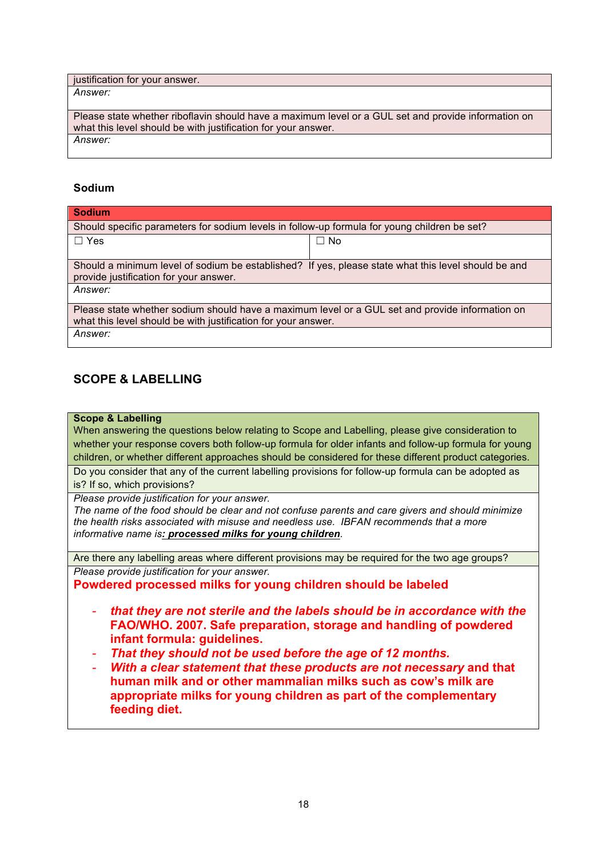justification for your answer.

*Answer:*

Please state whether riboflavin should have a maximum level or a GUL set and provide information on what this level should be with justification for your answer. *Answer:*

## **Sodium**

| <b>Sodium</b>                                                                                                                                 |              |  |
|-----------------------------------------------------------------------------------------------------------------------------------------------|--------------|--|
| Should specific parameters for sodium levels in follow-up formula for young children be set?                                                  |              |  |
| $\Box$ Yes                                                                                                                                    | $\square$ No |  |
| Should a minimum level of sodium be established? If yes, please state what this level should be and<br>provide justification for your answer. |              |  |
| Answer:                                                                                                                                       |              |  |
| Please state whether sodium should have a maximum level or a GUL set and provide information on                                               |              |  |
| what this level should be with justification for your answer.                                                                                 |              |  |
| Answer:                                                                                                                                       |              |  |

## **SCOPE & LABELLING**

### **Scope & Labelling**

When answering the questions below relating to Scope and Labelling, please give consideration to whether your response covers both follow-up formula for older infants and follow-up formula for young children, or whether different approaches should be considered for these different product categories.

Do you consider that any of the current labelling provisions for follow-up formula can be adopted as is? If so, which provisions?

*Please provide justification for your answer.*

*The name of the food should be clear and not confuse parents and care givers and should minimize the health risks associated with misuse and needless use. IBFAN recommends that a more informative name is: processed milks for young children.* 

Are there any labelling areas where different provisions may be required for the two age groups?

*Please provide justification for your answer.*

**Powdered processed milks for young children should be labeled**

- *- that they are not sterile and the labels should be in accordance with the*  **FAO/WHO. 2007. Safe preparation, storage and handling of powdered infant formula: guidelines.**
- *- That they should not be used before the age of 12 months.*
- *- With a clear statement that these products are not necessary* **and that human milk and or other mammalian milks such as cow's milk are appropriate milks for young children as part of the complementary feeding diet.**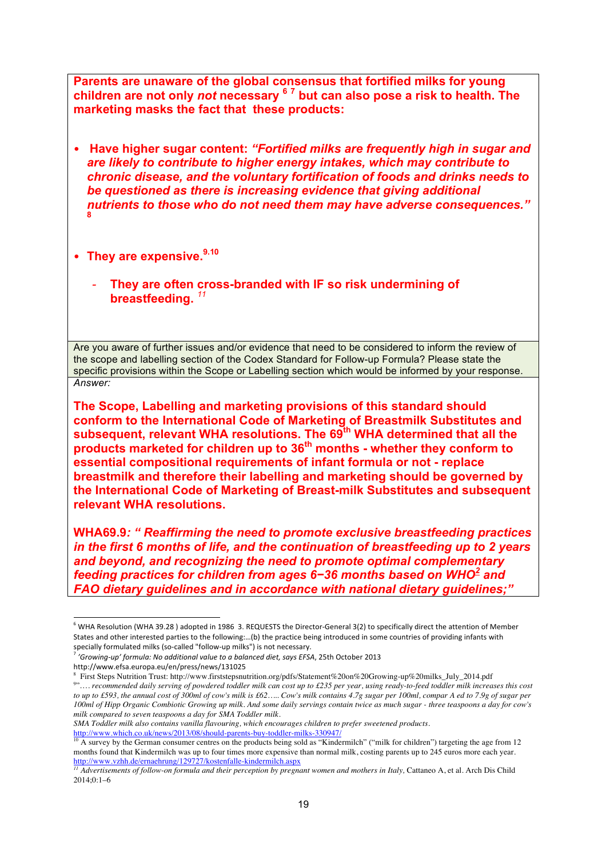**Parents are unaware of the global consensus that fortified milks for young children are not only** *not* **necessary <sup>6</sup> <sup>7</sup> but can also pose a risk to health. The marketing masks the fact that these products:**

- **Have higher sugar content:** *"Fortified milks are frequently high in sugar and are likely to contribute to higher energy intakes, which may contribute to chronic disease, and the voluntary fortification of foods and drinks needs to be questioned as there is increasing evidence that giving additional nutrients to those who do not need them may have adverse consequences."* **8**
- They are expensive.<sup>9.10</sup>
	- *-* **They are often cross-branded with IF so risk undermining of breastfeeding.** *<sup>11</sup>*

Are you aware of further issues and/or evidence that need to be considered to inform the review of the scope and labelling section of the Codex Standard for Follow-up Formula? Please state the specific provisions within the Scope or Labelling section which would be informed by your response. *Answer:*

**The Scope, Labelling and marketing provisions of this standard should conform to the International Code of Marketing of Breastmilk Substitutes and subsequent, relevant WHA resolutions. The 69th WHA determined that all the products marketed for children up to 36th months - whether they conform to essential compositional requirements of infant formula or not - replace breastmilk and therefore their labelling and marketing should be governed by the International Code of Marketing of Breast-milk Substitutes and subsequent relevant WHA resolutions.** 

**WHA69.9***: " Reaffirming the need to promote exclusive breastfeeding practices in the first 6 months of life, and the continuation of breastfeeding up to 2 years and beyond, and recognizing the need to promote optimal complementary feeding practices for children from ages 6−36 months based on WHO2 and FAO dietary guidelines and in accordance with national dietary guidelines;"* 

l

*SMA Toddler milk also contains vanilla flavouring, which encourages children to prefer sweetened products.*

http://www.which.co.uk/news/2013/08/should-parents-buy-toddler-milks-330947/

<sup>10</sup> A survey by the German consumer centres on the products being sold as "Kindermilch" ("milk for children") targeting the age from 12 months found that Kindermilch was up to four times more expensive than normal milk, costing parents up to 245 euros more each year. http://www.vzhh.de/ernaehrung/129727/kostenfalle-kindermilch.aspx

<sup>6</sup> WHA Resolution (WHA 39.28 ) adopted in 1986 3. REQUESTS the Director-General 3(2) to specifically direct the attention of Member States and other interested parties to the following:…(b) the practice being introduced in some countries of providing infants with specially formulated milks (so-called "follow-up milks") is not necessary.

<sup>7</sup> *'Growing-up' formula: No additional value to a balanced diet, says EFSA*, 25th October 2013

http://www.efsa.europa.eu/en/press/news/131025

<sup>8</sup> First Steps Nutrition Trust: http://www.firststepsnutrition.org/pdfs/Statement%20on%20Growing-up%20milks\_July\_2014.pdf " .... recommended daily serving of powdered toddler milk can cost up to £235 per year, using ready-to-feed toddler milk increases this cost to up to £593, the annual cost of 300ml of cow's milk is £62..... Cow's milk contains 4.7g sugar per 100ml, compar A ed to 7.9g of sugar per 100ml of Hipp Organic Combiotic Growing up milk. And some daily servings contain twice as much sugar - three teaspoons a day for cow's *milk compared to seven teaspoons a day for SMA Toddler milk.*

 $^{11}$  Advertisements of follow-on formula and their perception by pregnant women and mothers in Italy, Cattaneo A, et al. Arch Dis Child  $2014:0:1-6$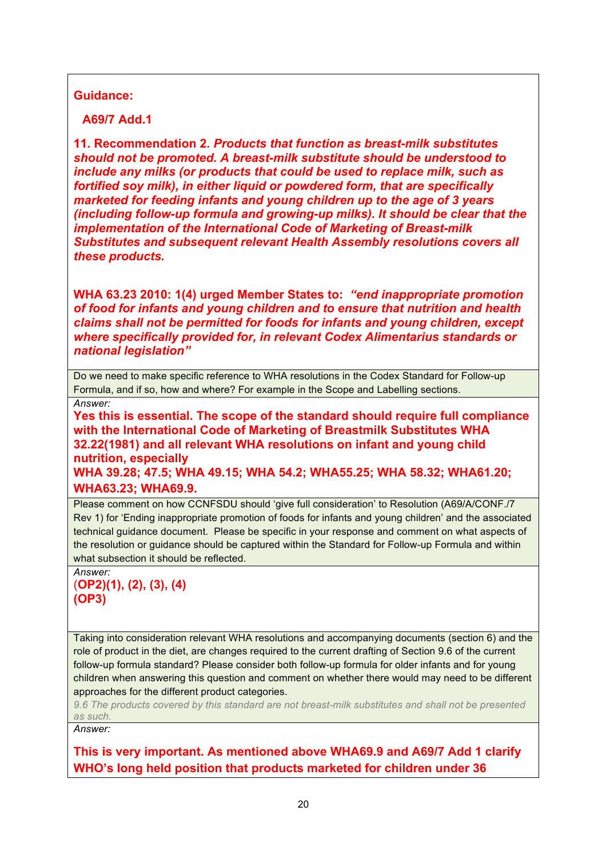## **Guidance:**

**A69/7 Add.1** 

**11. Recommendation 2***. Products that function as breast-milk substitutes should not be promoted. A breast-milk substitute should be understood to include any milks (or products that could be used to replace milk, such as fortified soy milk), in either liquid or powdered form, that are specifically marketed for feeding infants and young children up to the age of 3 years (including follow-up formula and growing-up milks). It should be clear that the implementation of the International Code of Marketing of Breast-milk Substitutes and subsequent relevant Health Assembly resolutions covers all these products.*

**WHA 63.23 2010: 1(4) urged Member States to:** *"end inappropriate promotion of food for infants and young children and to ensure that nutrition and health claims shall not be permitted for foods for infants and young children, except where specifically provided for, in relevant Codex Alimentarius standards or national legislation"*

Do we need to make specific reference to WHA resolutions in the Codex Standard for Follow-up Formula, and if so, how and where? For example in the Scope and Labelling sections. *Answer:*

**Yes this is essential. The scope of the standard should require full compliance with the International Code of Marketing of Breastmilk Substitutes WHA 32.22(1981) and all relevant WHA resolutions on infant and young child nutrition, especially WHA 39.28; 47.5; WHA 49.15; WHA 54.2; WHA55.25; WHA 58.32; WHA61.20;** 

## **WHA63.23; WHA69.9.**

Please comment on how CCNFSDU should 'give full consideration' to Resolution (A69/A/CONF./7 Rev 1) for 'Ending inappropriate promotion of foods for infants and young children' and the associated technical guidance document. Please be specific in your response and comment on what aspects of the resolution or guidance should be captured within the Standard for Follow-up Formula and within what subsection it should be reflected.

```
Answer:
(OP2)(1), (2), (3), (4)
(OP3)
```
Taking into consideration relevant WHA resolutions and accompanying documents (section 6) and the role of product in the diet, are changes required to the current drafting of Section 9.6 of the current follow-up formula standard? Please consider both follow-up formula for older infants and for young children when answering this question and comment on whether there would may need to be different approaches for the different product categories.

*9.6 The products covered by this standard are not breast-milk substitutes and shall not be presented as such.*

*Answer:*

**This is very important. As mentioned above WHA69.9 and A69/7 Add 1 clarify WHO's long held position that products marketed for children under 36**